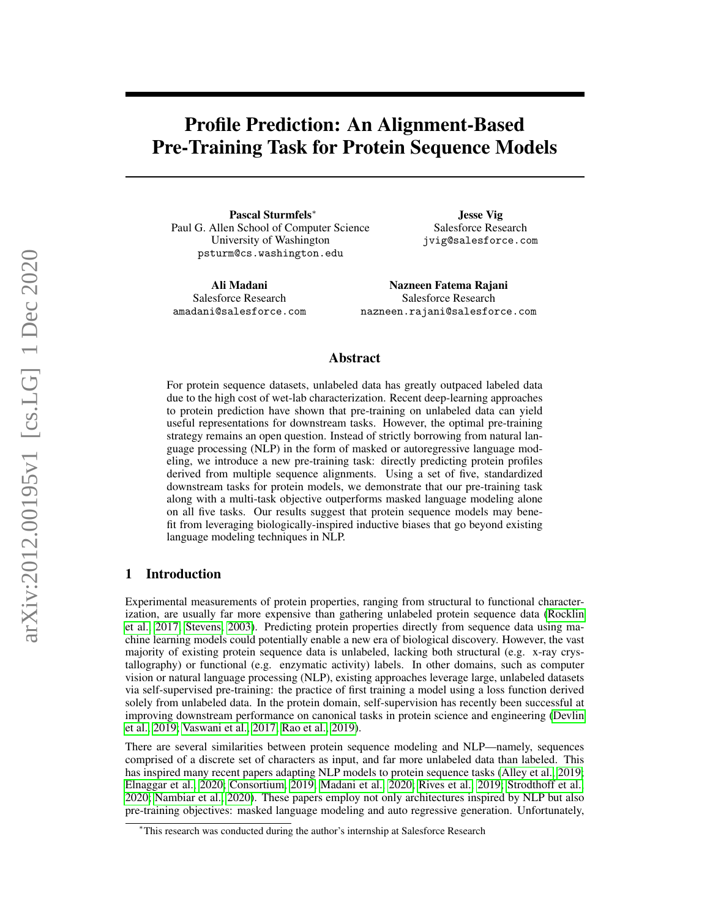# Profile Prediction: An Alignment-Based Pre-Training Task for Protein Sequence Models

Pascal Sturmfels<sup>∗</sup> Paul G. Allen School of Computer Science University of Washington psturm@cs.washington.edu

Ali Madani Salesforce Research amadani@salesforce.com

Jesse Vig Salesforce Research jvig@salesforce.com

Nazneen Fatema Rajani Salesforce Research nazneen.rajani@salesforce.com

## Abstract

For protein sequence datasets, unlabeled data has greatly outpaced labeled data due to the high cost of wet-lab characterization. Recent deep-learning approaches to protein prediction have shown that pre-training on unlabeled data can yield useful representations for downstream tasks. However, the optimal pre-training strategy remains an open question. Instead of strictly borrowing from natural language processing (NLP) in the form of masked or autoregressive language modeling, we introduce a new pre-training task: directly predicting protein profiles derived from multiple sequence alignments. Using a set of five, standardized downstream tasks for protein models, we demonstrate that our pre-training task along with a multi-task objective outperforms masked language modeling alone on all five tasks. Our results suggest that protein sequence models may benefit from leveraging biologically-inspired inductive biases that go beyond existing language modeling techniques in NLP.

## 1 Introduction

Experimental measurements of protein properties, ranging from structural to functional characterization, are usually far more expensive than gathering unlabeled protein sequence data [\(Rocklin](#page-7-0) [et al., 2017;](#page-7-0) [Stevens, 2003\)](#page-7-1). Predicting protein properties directly from sequence data using machine learning models could potentially enable a new era of biological discovery. However, the vast majority of existing protein sequence data is unlabeled, lacking both structural (e.g. x-ray crystallography) or functional (e.g. enzymatic activity) labels. In other domains, such as computer vision or natural language processing (NLP), existing approaches leverage large, unlabeled datasets via self-supervised pre-training: the practice of first training a model using a loss function derived solely from unlabeled data. In the protein domain, self-supervision has recently been successful at improving downstream performance on canonical tasks in protein science and engineering [\(Devlin](#page-6-0) [et al., 2019;](#page-6-0) [Vaswani et al., 2017;](#page-7-2) [Rao et al., 2019\)](#page-7-3).

There are several similarities between protein sequence modeling and NLP—namely, sequences comprised of a discrete set of characters as input, and far more unlabeled data than labeled. This has inspired many recent papers adapting NLP models to protein sequence tasks [\(Alley et al., 2019;](#page-6-1) [Elnaggar et al., 2020;](#page-6-2) [Consortium, 2019;](#page-6-3) [Madani et al., 2020;](#page-7-4) [Rives et al., 2019;](#page-7-5) [Strodthoff et al.,](#page-7-6) [2020;](#page-7-6) [Nambiar et al., 2020\)](#page-7-7). These papers employ not only architectures inspired by NLP but also pre-training objectives: masked language modeling and auto regressive generation. Unfortunately,

<sup>∗</sup>This research was conducted during the author's internship at Salesforce Research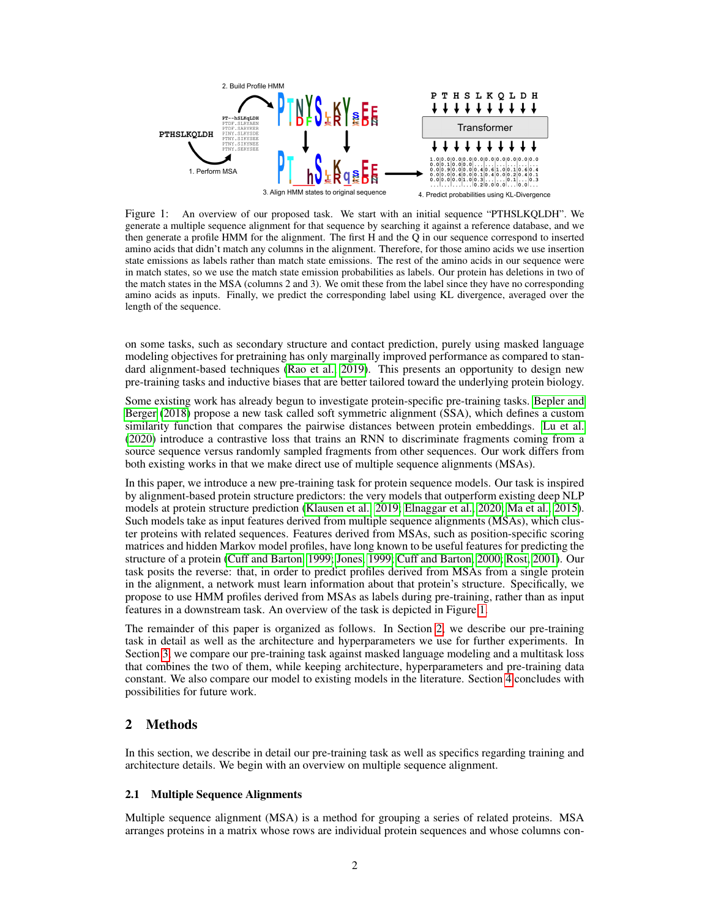

<span id="page-1-0"></span>Figure 1: An overview of our proposed task. We start with an initial sequence "PTHSLKQLDH". We generate a multiple sequence alignment for that sequence by searching it against a reference database, and we then generate a profile HMM for the alignment. The first H and the Q in our sequence correspond to inserted amino acids that didn't match any columns in the alignment. Therefore, for those amino acids we use insertion state emissions as labels rather than match state emissions. The rest of the amino acids in our sequence were in match states, so we use the match state emission probabilities as labels. Our protein has deletions in two of the match states in the MSA (columns 2 and 3). We omit these from the label since they have no corresponding amino acids as inputs. Finally, we predict the corresponding label using KL divergence, averaged over the length of the sequence.

on some tasks, such as secondary structure and contact prediction, purely using masked language modeling objectives for pretraining has only marginally improved performance as compared to stan-dard alignment-based techniques [\(Rao et al., 2019\)](#page-7-3). This presents an opportunity to design new pre-training tasks and inductive biases that are better tailored toward the underlying protein biology.

Some existing work has already begun to investigate protein-specific pre-training tasks. [Bepler and](#page-6-4) [Berger](#page-6-4) [\(2018\)](#page-6-4) propose a new task called soft symmetric alignment (SSA), which defines a custom similarity function that compares the pairwise distances between protein embeddings. [Lu et al.](#page-7-8) [\(2020\)](#page-7-8) introduce a contrastive loss that trains an RNN to discriminate fragments coming from a source sequence versus randomly sampled fragments from other sequences. Our work differs from both existing works in that we make direct use of multiple sequence alignments (MSAs).

In this paper, we introduce a new pre-training task for protein sequence models. Our task is inspired by alignment-based protein structure predictors: the very models that outperform existing deep NLP models at protein structure prediction [\(Klausen et al., 2019;](#page-7-9) [Elnaggar et al., 2020;](#page-6-2) [Ma et al., 2015\)](#page-7-10). Such models take as input features derived from multiple sequence alignments (MSAs), which cluster proteins with related sequences. Features derived from MSAs, such as position-specific scoring matrices and hidden Markov model profiles, have long known to be useful features for predicting the structure of a protein [\(Cuff and Barton, 1999;](#page-6-5) [Jones, 1999;](#page-6-6) [Cuff and Barton, 2000;](#page-6-7) [Rost, 2001\)](#page-7-11). Our task posits the reverse: that, in order to predict profiles derived from MSAs from a single protein in the alignment, a network must learn information about that protein's structure. Specifically, we propose to use HMM profiles derived from MSAs as labels during pre-training, rather than as input features in a downstream task. An overview of the task is depicted in Figure [1.](#page-1-0)

The remainder of this paper is organized as follows. In Section [2,](#page-1-1) we describe our pre-training task in detail as well as the architecture and hyperparameters we use for further experiments. In Section [3,](#page-4-0) we compare our pre-training task against masked language modeling and a multitask loss that combines the two of them, while keeping architecture, hyperparameters and pre-training data constant. We also compare our model to existing models in the literature. Section [4](#page-5-0) concludes with possibilities for future work.

# <span id="page-1-1"></span>2 Methods

In this section, we describe in detail our pre-training task as well as specifics regarding training and architecture details. We begin with an overview on multiple sequence alignment.

## 2.1 Multiple Sequence Alignments

Multiple sequence alignment (MSA) is a method for grouping a series of related proteins. MSA arranges proteins in a matrix whose rows are individual protein sequences and whose columns con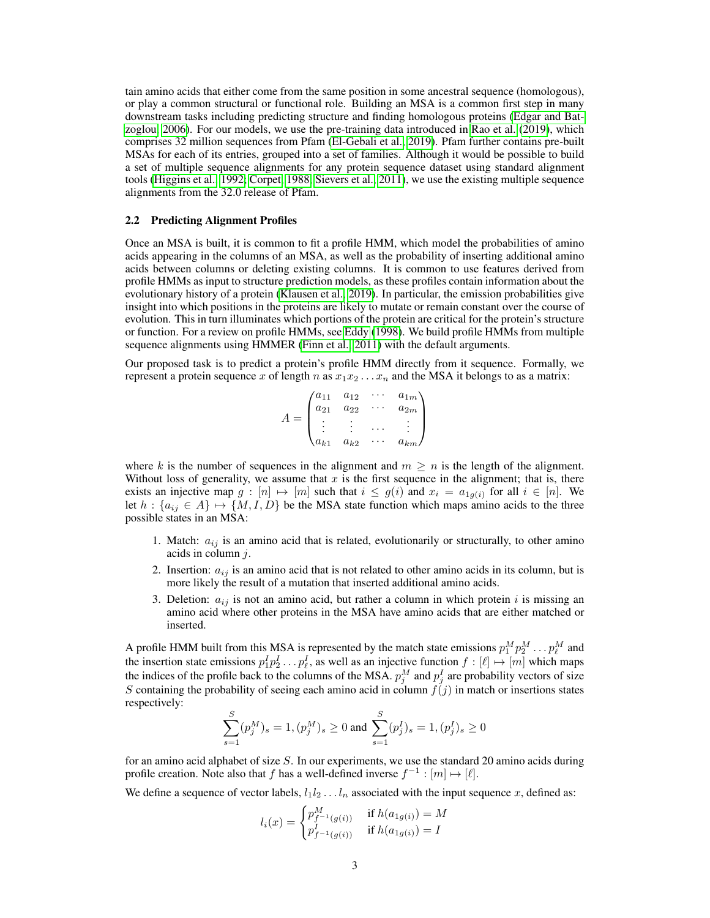tain amino acids that either come from the same position in some ancestral sequence (homologous), or play a common structural or functional role. Building an MSA is a common first step in many downstream tasks including predicting structure and finding homologous proteins [\(Edgar and Bat](#page-6-8)[zoglou, 2006\)](#page-6-8). For our models, we use the pre-training data introduced in [Rao et al.](#page-7-3) [\(2019\)](#page-7-3), which comprises 32 million sequences from Pfam [\(El-Gebali et al., 2019\)](#page-6-9). Pfam further contains pre-built MSAs for each of its entries, grouped into a set of families. Although it would be possible to build a set of multiple sequence alignments for any protein sequence dataset using standard alignment tools [\(Higgins et al., 1992;](#page-6-10) [Corpet, 1988;](#page-6-11) [Sievers et al., 2011\)](#page-7-12), we use the existing multiple sequence alignments from the 32.0 release of Pfam.

## 2.2 Predicting Alignment Profiles

Once an MSA is built, it is common to fit a profile HMM, which model the probabilities of amino acids appearing in the columns of an MSA, as well as the probability of inserting additional amino acids between columns or deleting existing columns. It is common to use features derived from profile HMMs as input to structure prediction models, as these profiles contain information about the evolutionary history of a protein [\(Klausen et al., 2019\)](#page-7-9). In particular, the emission probabilities give insight into which positions in the proteins are likely to mutate or remain constant over the course of evolution. This in turn illuminates which portions of the protein are critical for the protein's structure or function. For a review on profile HMMs, see [Eddy](#page-6-12) [\(1998\)](#page-6-12). We build profile HMMs from multiple sequence alignments using HMMER [\(Finn et al., 2011\)](#page-6-13) with the default arguments.

Our proposed task is to predict a protein's profile HMM directly from it sequence. Formally, we represent a protein sequence x of length n as  $x_1x_2 \ldots x_n$  and the MSA it belongs to as a matrix:

$$
A = \begin{pmatrix} a_{11} & a_{12} & \cdots & a_{1m} \\ a_{21} & a_{22} & \cdots & a_{2m} \\ \vdots & \vdots & \cdots & \vdots \\ a_{k1} & a_{k2} & \cdots & a_{km} \end{pmatrix}
$$

where k is the number of sequences in the alignment and  $m \geq n$  is the length of the alignment. Without loss of generality, we assume that  $x$  is the first sequence in the alignment; that is, there exists an injective map  $g: [n] \mapsto [m]$  such that  $i \leq g(i)$  and  $x_i = a_{1g(i)}$  for all  $i \in [n]$ . We let  $h : \{a_{ij} \in A\} \mapsto \{M, I, D\}$  be the MSA state function which maps amino acids to the three possible states in an MSA:

- 1. Match:  $a_{ij}$  is an amino acid that is related, evolutionarily or structurally, to other amino acids in column j.
- 2. Insertion:  $a_{ij}$  is an amino acid that is not related to other amino acids in its column, but is more likely the result of a mutation that inserted additional amino acids.
- 3. Deletion:  $a_{ij}$  is not an amino acid, but rather a column in which protein i is missing an amino acid where other proteins in the MSA have amino acids that are either matched or inserted.

A profile HMM built from this MSA is represented by the match state emissions  $p_1^M p_2^M \dots p_\ell^M$  and the insertion state emissions  $p_1^I p_2^I \dots p_\ell^I$ , as well as an injective function  $f : [\ell] \mapsto [m]$  which maps the indices of the profile back to the columns of the MSA.  $p_j^M$  and  $p_j^I$  are probability vectors of size S containing the probability of seeing each amino acid in column  $f(j)$  in match or insertions states respectively:

$$
\sum_{s=1}^S (p_j^M)_s = 1, (p_j^M)_s \ge 0 \text{ and } \sum_{s=1}^S (p_j^I)_s = 1, (p_j^I)_s \ge 0
$$

for an amino acid alphabet of size S. In our experiments, we use the standard 20 amino acids during profile creation. Note also that f has a well-defined inverse  $f^{-1} : [m] \mapsto [\ell]$ .

We define a sequence of vector labels,  $l_1l_2 \ldots l_n$  associated with the input sequence x, defined as:

$$
l_i(x) = \begin{cases} p_{f^{-1}(g(i))}^M & \text{if } h(a_{1g(i)}) = M \\ p_{f^{-1}(g(i))}^J & \text{if } h(a_{1g(i)}) = I \end{cases}
$$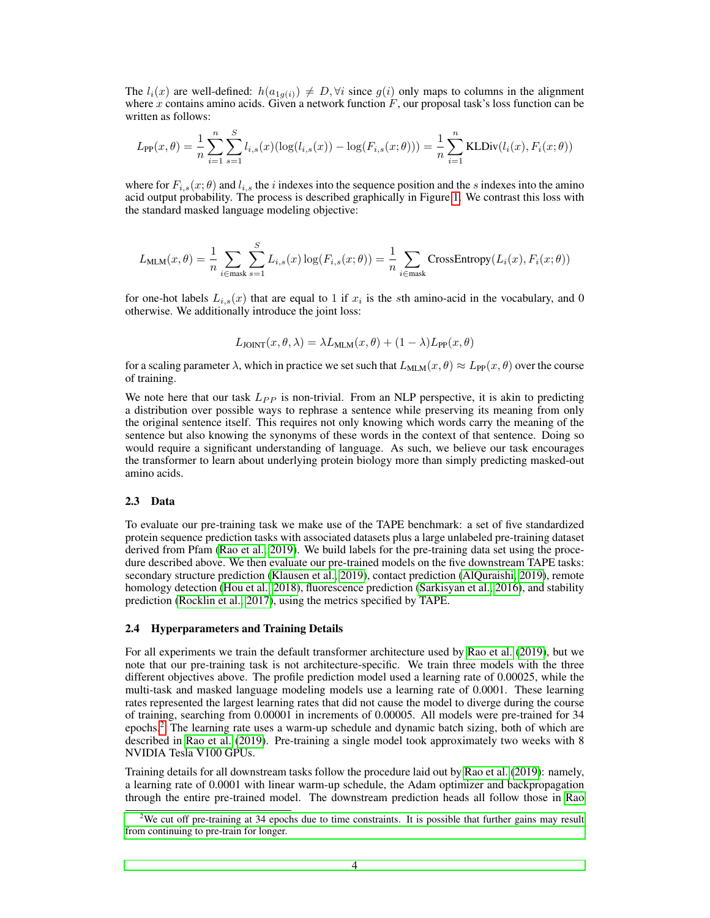The  $l_i(x)$  are well-defined:  $h(a_{1g(i)}) \neq D$ ,  $\forall i$  since  $g(i)$  only maps to columns in the alignment where x contains amino acids. Given a network function  $F$ , our proposal task's loss function can be written as follows:

$$
L_{\text{PP}}(x,\theta) = \frac{1}{n} \sum_{i=1}^{n} \sum_{s=1}^{S} l_{i,s}(x) (\log(l_{i,s}(x)) - \log(F_{i,s}(x;\theta))) = \frac{1}{n} \sum_{i=1}^{n} \text{KLDiv}(l_i(x), F_i(x;\theta))
$$

where for  $F_{i,s}(x;\theta)$  and  $l_{i,s}$  the i indexes into the sequence position and the s indexes into the amino acid output probability. The process is described graphically in Figure [1.](#page-1-0) We contrast this loss with the standard masked language modeling objective:

$$
L_{\text{MLM}}(x,\theta) = \frac{1}{n} \sum_{i \in \text{mask}} \sum_{s=1}^{S} L_{i,s}(x) \log(F_{i,s}(x;\theta)) = \frac{1}{n} \sum_{i \in \text{mask}} \text{CrossEntropy}(L_i(x), F_i(x;\theta))
$$

for one-hot labels  $L_{i,s}(x)$  that are equal to 1 if  $x_i$  is the sth amino-acid in the vocabulary, and 0 otherwise. We additionally introduce the joint loss:

$$
L_{\text{JOINT}}(x,\theta,\lambda) = \lambda L_{\text{MLM}}(x,\theta) + (1-\lambda)L_{\text{PP}}(x,\theta)
$$

for a scaling parameter  $\lambda$ , which in practice we set such that  $L_{MLM}(x, \theta) \approx L_{PP}(x, \theta)$  over the course of training.

We note here that our task  $L_{PP}$  is non-trivial. From an NLP perspective, it is akin to predicting a distribution over possible ways to rephrase a sentence while preserving its meaning from only the original sentence itself. This requires not only knowing which words carry the meaning of the sentence but also knowing the synonyms of these words in the context of that sentence. Doing so would require a significant understanding of language. As such, we believe our task encourages the transformer to learn about underlying protein biology more than simply predicting masked-out amino acids.

#### 2.3 Data

To evaluate our pre-training task we make use of the TAPE benchmark: a set of five standardized protein sequence prediction tasks with associated datasets plus a large unlabeled pre-training dataset derived from Pfam [\(Rao et al., 2019\)](#page-7-3). We build labels for the pre-training data set using the procedure described above. We then evaluate our pre-trained models on the five downstream TAPE tasks: secondary structure prediction [\(Klausen et al., 2019\)](#page-7-9), contact prediction [\(AlQuraishi, 2019\)](#page-6-14), remote homology detection [\(Hou et al., 2018\)](#page-6-15), fluorescence prediction [\(Sarkisyan et al., 2016\)](#page-7-13), and stability prediction [\(Rocklin et al., 2017\)](#page-7-0), using the metrics specified by TAPE.

#### 2.4 Hyperparameters and Training Details

For all experiments we train the default transformer architecture used by [Rao et al.](#page-7-3) [\(2019\)](#page-7-3), but we note that our pre-training task is not architecture-specific. We train three models with the three different objectives above. The profile prediction model used a learning rate of 0.00025, while the multi-task and masked language modeling models use a learning rate of 0.0001. These learning rates represented the largest learning rates that did not cause the model to diverge during the course of training, searching from 0.00001 in increments of 0.00005. All models were pre-trained for 34 epochs.[2](#page-3-0) The learning rate uses a warm-up schedule and dynamic batch sizing, both of which are described in [Rao et al.](#page-7-3) [\(2019\)](#page-7-3). Pre-training a single model took approximately two weeks with 8 NVIDIA Tesla V100 GPUs.

Training details for all downstream tasks follow the procedure laid out by [Rao et al.](#page-7-3) [\(2019\)](#page-7-3): namely, a learning rate of 0.0001 with linear warm-up schedule, the Adam optimizer and backpropagation through the entire pre-trained model. The downstream prediction heads all follow those in [Rao](#page-7-3)

<span id="page-3-0"></span><sup>&</sup>lt;sup>2</sup>[We cut off pre-training at 34 epochs due to time constraints. It is possible that further gains may result](#page-7-3) [from continuing to pre-train for longer.](#page-7-3)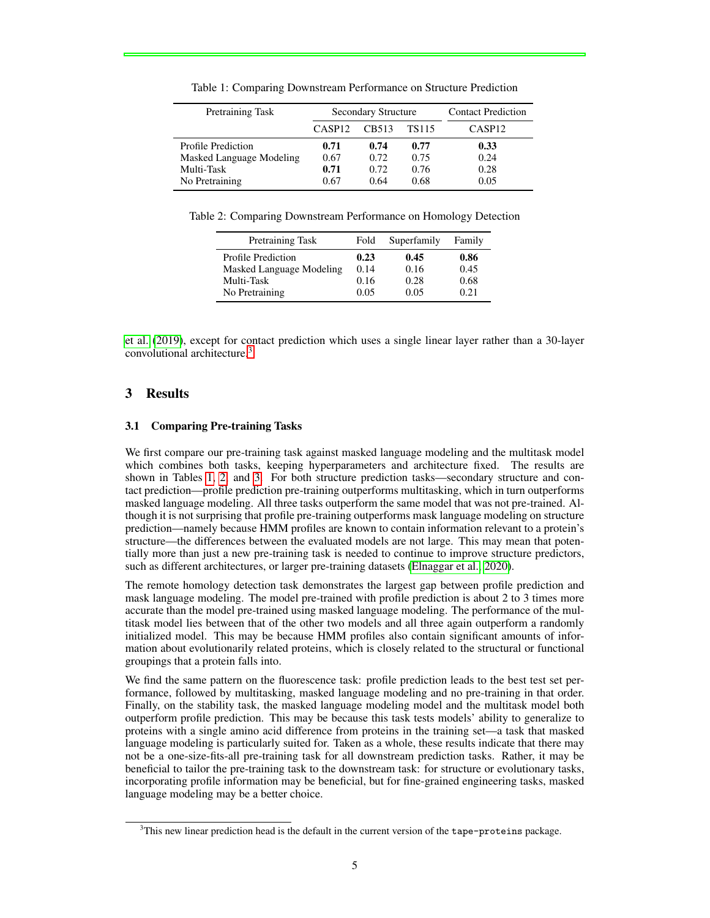| Pretraining Task         | <b>Secondary Structure</b> |       |       | <b>Contact Prediction</b> |
|--------------------------|----------------------------|-------|-------|---------------------------|
|                          | CASP <sub>12</sub>         | CB513 | TS115 | CASP <sub>12</sub>        |
| Profile Prediction       | 0.71                       | 0.74  | 0.77  | 0.33                      |
| Masked Language Modeling | 0.67                       | 0.72  | 0.75  | 0.24                      |
| Multi-Task               | 0.71                       | 0.72  | 0.76  | 0.28                      |
| No Pretraining           | 0.67                       | 0.64  | 0.68  | 0.05                      |

<span id="page-4-2"></span>Table 1: Comparing Downstream Performance on Structure Prediction

Table 2: Comparing Downstream Performance on Homology Detection

<span id="page-4-3"></span>

| Pretraining Task         | Fold | Superfamily | Family |
|--------------------------|------|-------------|--------|
| Profile Prediction       | 0.23 | 0.45        | 0.86   |
| Masked Language Modeling | 0.14 | 0.16        | 0.45   |
| Multi-Task               | 0.16 | 0.28        | 0.68   |
| No Pretraining           | 0.05 | 0.05        | 0.21   |

[et al.](#page-7-3) [\(2019\)](#page-7-3), except for contact prediction which uses a single linear layer rather than a 30-layer convolutional architecture.[3](#page-4-1)

# <span id="page-4-0"></span>3 Results

### 3.1 Comparing Pre-training Tasks

We first compare our pre-training task against masked language modeling and the multitask model which combines both tasks, keeping hyperparameters and architecture fixed. The results are shown in Tables [1,](#page-4-2) [2,](#page-4-3) and [3.](#page-5-1) For both structure prediction tasks—secondary structure and contact prediction—profile prediction pre-training outperforms multitasking, which in turn outperforms masked language modeling. All three tasks outperform the same model that was not pre-trained. Although it is not surprising that profile pre-training outperforms mask language modeling on structure prediction—namely because HMM profiles are known to contain information relevant to a protein's structure—the differences between the evaluated models are not large. This may mean that potentially more than just a new pre-training task is needed to continue to improve structure predictors, such as different architectures, or larger pre-training datasets [\(Elnaggar et al., 2020\)](#page-6-2).

The remote homology detection task demonstrates the largest gap between profile prediction and mask language modeling. The model pre-trained with profile prediction is about 2 to 3 times more accurate than the model pre-trained using masked language modeling. The performance of the multitask model lies between that of the other two models and all three again outperform a randomly initialized model. This may be because HMM profiles also contain significant amounts of information about evolutionarily related proteins, which is closely related to the structural or functional groupings that a protein falls into.

We find the same pattern on the fluorescence task: profile prediction leads to the best test set performance, followed by multitasking, masked language modeling and no pre-training in that order. Finally, on the stability task, the masked language modeling model and the multitask model both outperform profile prediction. This may be because this task tests models' ability to generalize to proteins with a single amino acid difference from proteins in the training set—a task that masked language modeling is particularly suited for. Taken as a whole, these results indicate that there may not be a one-size-fits-all pre-training task for all downstream prediction tasks. Rather, it may be beneficial to tailor the pre-training task to the downstream task: for structure or evolutionary tasks, incorporating profile information may be beneficial, but for fine-grained engineering tasks, masked language modeling may be a better choice.

<span id="page-4-1"></span> $3$ This new linear prediction head is the default in the current version of the tape-proteins package.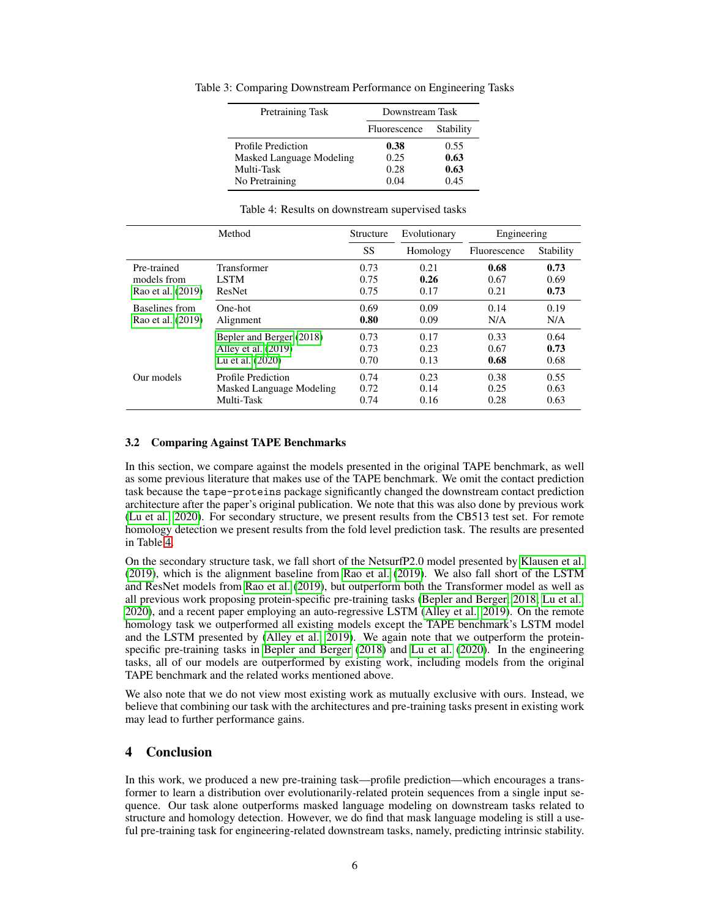<span id="page-5-1"></span>

| Pretraining Task         | Downstream Task |           |
|--------------------------|-----------------|-----------|
|                          | Fluorescence    | Stability |
| Profile Prediction       | 0.38            | 0.55      |
| Masked Language Modeling | 0.25            | 0.63      |
| Multi-Task               | 0.28            | 0.63      |
| No Pretraining           | 0.04            | 0.45      |

Table 3: Comparing Downstream Performance on Engineering Tasks

<span id="page-5-2"></span>

| Table 4: Results on downstream supervised tasks |  |  |
|-------------------------------------------------|--|--|
|-------------------------------------------------|--|--|

|                   | Method                   |           | Evolutionary | Engineering  |           |
|-------------------|--------------------------|-----------|--------------|--------------|-----------|
|                   |                          | <b>SS</b> | Homology     | Fluorescence | Stability |
| Pre-trained       | <b>Transformer</b>       | 0.73      | 0.21         | 0.68         | 0.73      |
| models from       | <b>LSTM</b>              | 0.75      | 0.26         | 0.67         | 0.69      |
| Rao et al. (2019) | ResNet                   | 0.75      | 0.17         | 0.21         | 0.73      |
| Baselines from    | One-hot                  | 0.69      | 0.09         | 0.14         | 0.19      |
| Rao et al. (2019) | Alignment                | 0.80      | 0.09         | N/A          | N/A       |
|                   | Bepler and Berger (2018) | 0.73      | 0.17         | 0.33         | 0.64      |
|                   | Alley et al. (2019)      | 0.73      | 0.23         | 0.67         | 0.73      |
|                   | Lu et al. (2020)         | 0.70      | 0.13         | 0.68         | 0.68      |
| Our models        | Profile Prediction       | 0.74      | 0.23         | 0.38         | 0.55      |
|                   | Masked Language Modeling | 0.72      | 0.14         | 0.25         | 0.63      |
|                   | Multi-Task               | 0.74      | 0.16         | 0.28         | 0.63      |

#### 3.2 Comparing Against TAPE Benchmarks

In this section, we compare against the models presented in the original TAPE benchmark, as well as some previous literature that makes use of the TAPE benchmark. We omit the contact prediction task because the tape-proteins package significantly changed the downstream contact prediction architecture after the paper's original publication. We note that this was also done by previous work [\(Lu et al., 2020\)](#page-7-8). For secondary structure, we present results from the CB513 test set. For remote homology detection we present results from the fold level prediction task. The results are presented in Table [4.](#page-5-2)

On the secondary structure task, we fall short of the NetsurfP2.0 model presented by [Klausen et al.](#page-7-9) [\(2019\)](#page-7-9), which is the alignment baseline from [Rao et al.](#page-7-3) [\(2019\)](#page-7-3). We also fall short of the LSTM and ResNet models from [Rao et al.](#page-7-3) [\(2019\)](#page-7-3), but outperform both the Transformer model as well as all previous work proposing protein-specific pre-training tasks [\(Bepler and Berger, 2018;](#page-6-4) [Lu et al.,](#page-7-8) [2020\)](#page-7-8), and a recent paper employing an auto-regressive LSTM [\(Alley et al., 2019\)](#page-6-1). On the remote homology task we outperformed all existing models except the TAPE benchmark's LSTM model and the LSTM presented by [\(Alley et al., 2019\)](#page-6-1). We again note that we outperform the proteinspecific pre-training tasks in [Bepler and Berger](#page-6-4) [\(2018\)](#page-6-4) and [Lu et al.](#page-7-8) [\(2020\)](#page-7-8). In the engineering tasks, all of our models are outperformed by existing work, including models from the original TAPE benchmark and the related works mentioned above.

We also note that we do not view most existing work as mutually exclusive with ours. Instead, we believe that combining our task with the architectures and pre-training tasks present in existing work may lead to further performance gains.

## <span id="page-5-0"></span>4 Conclusion

In this work, we produced a new pre-training task—profile prediction—which encourages a transformer to learn a distribution over evolutionarily-related protein sequences from a single input sequence. Our task alone outperforms masked language modeling on downstream tasks related to structure and homology detection. However, we do find that mask language modeling is still a useful pre-training task for engineering-related downstream tasks, namely, predicting intrinsic stability.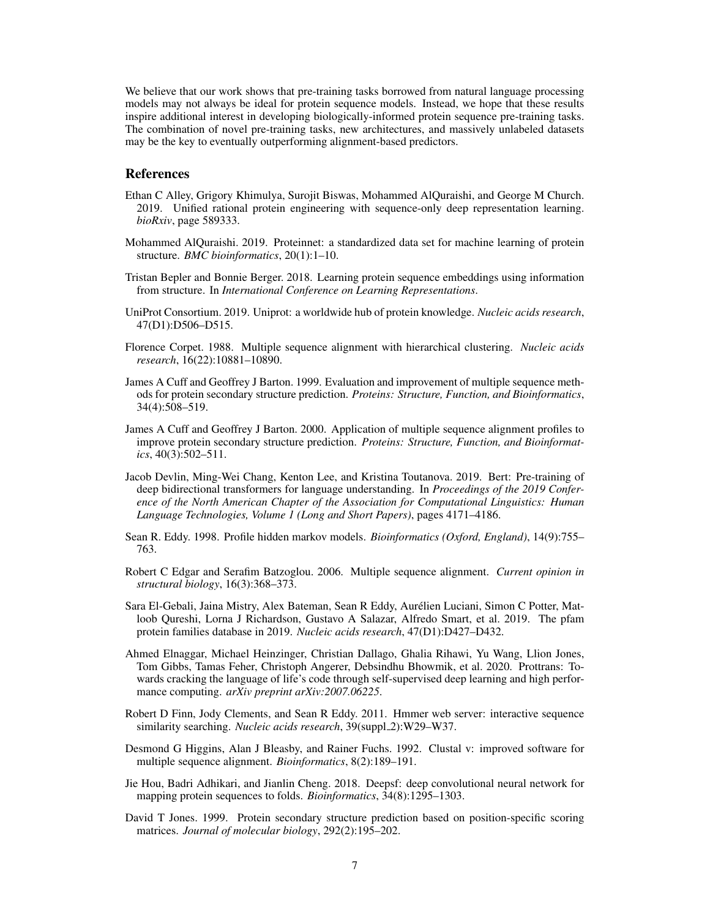We believe that our work shows that pre-training tasks borrowed from natural language processing models may not always be ideal for protein sequence models. Instead, we hope that these results inspire additional interest in developing biologically-informed protein sequence pre-training tasks. The combination of novel pre-training tasks, new architectures, and massively unlabeled datasets may be the key to eventually outperforming alignment-based predictors.

#### References

- <span id="page-6-1"></span>Ethan C Alley, Grigory Khimulya, Surojit Biswas, Mohammed AlQuraishi, and George M Church. 2019. Unified rational protein engineering with sequence-only deep representation learning. *bioRxiv*, page 589333.
- <span id="page-6-14"></span>Mohammed AlQuraishi. 2019. Proteinnet: a standardized data set for machine learning of protein structure. *BMC bioinformatics*, 20(1):1–10.
- <span id="page-6-4"></span>Tristan Bepler and Bonnie Berger. 2018. Learning protein sequence embeddings using information from structure. In *International Conference on Learning Representations*.
- <span id="page-6-3"></span>UniProt Consortium. 2019. Uniprot: a worldwide hub of protein knowledge. *Nucleic acids research*, 47(D1):D506–D515.
- <span id="page-6-11"></span>Florence Corpet. 1988. Multiple sequence alignment with hierarchical clustering. *Nucleic acids research*, 16(22):10881–10890.
- <span id="page-6-5"></span>James A Cuff and Geoffrey J Barton. 1999. Evaluation and improvement of multiple sequence methods for protein secondary structure prediction. *Proteins: Structure, Function, and Bioinformatics*, 34(4):508–519.
- <span id="page-6-7"></span>James A Cuff and Geoffrey J Barton. 2000. Application of multiple sequence alignment profiles to improve protein secondary structure prediction. *Proteins: Structure, Function, and Bioinformatics*, 40(3):502–511.
- <span id="page-6-0"></span>Jacob Devlin, Ming-Wei Chang, Kenton Lee, and Kristina Toutanova. 2019. Bert: Pre-training of deep bidirectional transformers for language understanding. In *Proceedings of the 2019 Conference of the North American Chapter of the Association for Computational Linguistics: Human Language Technologies, Volume 1 (Long and Short Papers)*, pages 4171–4186.
- <span id="page-6-12"></span>Sean R. Eddy. 1998. Profile hidden markov models. *Bioinformatics (Oxford, England)*, 14(9):755– 763.
- <span id="page-6-8"></span>Robert C Edgar and Serafim Batzoglou. 2006. Multiple sequence alignment. *Current opinion in structural biology*, 16(3):368–373.
- <span id="page-6-9"></span>Sara El-Gebali, Jaina Mistry, Alex Bateman, Sean R Eddy, Aurelien Luciani, Simon C Potter, Mat- ´ loob Qureshi, Lorna J Richardson, Gustavo A Salazar, Alfredo Smart, et al. 2019. The pfam protein families database in 2019. *Nucleic acids research*, 47(D1):D427–D432.
- <span id="page-6-2"></span>Ahmed Elnaggar, Michael Heinzinger, Christian Dallago, Ghalia Rihawi, Yu Wang, Llion Jones, Tom Gibbs, Tamas Feher, Christoph Angerer, Debsindhu Bhowmik, et al. 2020. Prottrans: Towards cracking the language of life's code through self-supervised deep learning and high performance computing. *arXiv preprint arXiv:2007.06225*.
- <span id="page-6-13"></span>Robert D Finn, Jody Clements, and Sean R Eddy. 2011. Hmmer web server: interactive sequence similarity searching. *Nucleic acids research*, 39(suppl\_2):W29-W37.
- <span id="page-6-10"></span>Desmond G Higgins, Alan J Bleasby, and Rainer Fuchs. 1992. Clustal v: improved software for multiple sequence alignment. *Bioinformatics*, 8(2):189–191.
- <span id="page-6-15"></span>Jie Hou, Badri Adhikari, and Jianlin Cheng. 2018. Deepsf: deep convolutional neural network for mapping protein sequences to folds. *Bioinformatics*, 34(8):1295–1303.
- <span id="page-6-6"></span>David T Jones. 1999. Protein secondary structure prediction based on position-specific scoring matrices. *Journal of molecular biology*, 292(2):195–202.